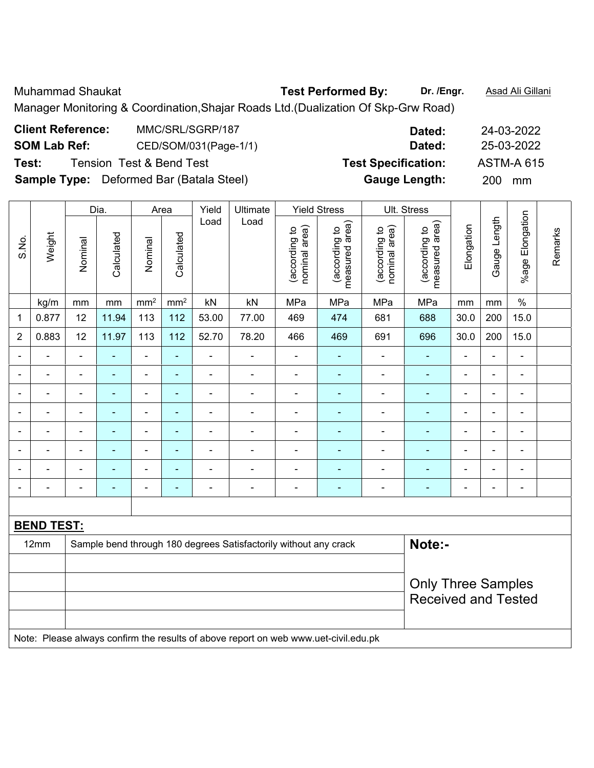Muhammad Shaukat **Test Performed By: Dr. /Engr.** Asad Ali Gillani Manager Monitoring & Coordination,Shajar Roads Ltd.(Dualization Of Skp-Grw Road)

| <b>Client Reference:</b> | MMC/SRL/SGRP/187                                | Dated:                     | 24-03-2022        |
|--------------------------|-------------------------------------------------|----------------------------|-------------------|
| <b>SOM Lab Ref:</b>      | CED/SOM/031(Page-1/1)                           | Dated:                     | 25-03-2022        |
| Test:                    | Tension Test & Bend Test                        | <b>Test Specification:</b> | <b>ASTM-A 615</b> |
|                          | <b>Sample Type:</b> Deformed Bar (Batala Steel) | <b>Gauge Length:</b>       | 200<br>mm         |

|                |                   |                           | Dia.                     | Area            |                 | Yield                    | Ultimate                                                                            |                                | <b>Yield Stress</b>             |                                | Ult. Stress                     |                |                |                          |         |
|----------------|-------------------|---------------------------|--------------------------|-----------------|-----------------|--------------------------|-------------------------------------------------------------------------------------|--------------------------------|---------------------------------|--------------------------------|---------------------------------|----------------|----------------|--------------------------|---------|
| S.No.          | Weight            | Nominal                   | Calculated               | Nominal         | Calculated      | Load                     | Load                                                                                | nominal area)<br>(according to | measured area)<br>(according to | (according to<br>nominal area) | measured area)<br>(according to | Elongation     | Gauge Length   | %age Elongation          | Remarks |
|                | kg/m              | mm                        | mm                       | mm <sup>2</sup> | mm <sup>2</sup> | kN                       | kN                                                                                  | MPa                            | MPa                             | MPa                            | MPa                             | mm             | mm             | $\%$                     |         |
| 1              | 0.877             | 12                        | 11.94                    | 113             | 112             | 53.00                    | 77.00                                                                               | 469                            | 474                             | 681                            | 688                             | 30.0           | 200            | 15.0                     |         |
| $\overline{2}$ | 0.883             | 12                        | 11.97                    | 113             | 112             | 52.70                    | 78.20                                                                               | 466                            | 469                             | 691                            | 696                             | 30.0           | 200            | 15.0                     |         |
|                |                   |                           |                          | ä,              | ä,              | ä,                       | $\overline{a}$                                                                      | $\blacksquare$                 |                                 | $\blacksquare$                 |                                 |                | $\blacksquare$ | $\blacksquare$           |         |
|                |                   |                           | $\overline{\phantom{0}}$ | $\blacksquare$  | $\blacksquare$  | $\blacksquare$           | $\blacksquare$                                                                      | $\blacksquare$                 | ۰                               | $\blacksquare$                 | $\blacksquare$                  |                |                | $\blacksquare$           |         |
|                | $\blacksquare$    |                           | ٠                        | $\blacksquare$  | -               | $\blacksquare$           | $\blacksquare$                                                                      |                                | ۳                               |                                | $\overline{\phantom{a}}$        | $\blacksquare$ | $\blacksquare$ | $\blacksquare$           |         |
| $\blacksquare$ | Ē,                |                           | $\blacksquare$           | ä,              | $\blacksquare$  | $\blacksquare$           | $\blacksquare$                                                                      | $\blacksquare$                 | ۰                               | $\overline{\phantom{0}}$       | $\overline{a}$                  | ÷              | $\blacksquare$ | $\blacksquare$           |         |
|                | $\blacksquare$    |                           | $\blacksquare$           | $\blacksquare$  | $\blacksquare$  | $\overline{\phantom{a}}$ | $\overline{\phantom{a}}$                                                            | $\overline{\phantom{a}}$       | ۰                               | $\overline{\phantom{a}}$       | $\overline{\phantom{a}}$        | $\blacksquare$ | $\blacksquare$ | $\blacksquare$           |         |
|                | $\blacksquare$    |                           | $\blacksquare$           | $\blacksquare$  | $\blacksquare$  | ÷                        | $\blacksquare$                                                                      | $\blacksquare$                 | ۳                               | $\blacksquare$                 | $\blacksquare$                  |                | $\blacksquare$ | $\blacksquare$           |         |
|                |                   |                           | ÷                        | ÷               | ÷               | ÷                        | ÷                                                                                   |                                | ÷                               | ÷                              | ÷                               |                |                | $\blacksquare$           |         |
|                |                   |                           | $\blacksquare$           | ۰               | ۳               | $\overline{a}$           | $\blacksquare$                                                                      |                                | ۳                               | -                              | $\overline{\phantom{a}}$        | ۰              | $\blacksquare$ | $\overline{\phantom{0}}$ |         |
|                |                   |                           |                          |                 |                 |                          |                                                                                     |                                |                                 |                                |                                 |                |                |                          |         |
|                | <b>BEND TEST:</b> |                           |                          |                 |                 |                          |                                                                                     |                                |                                 |                                |                                 |                |                |                          |         |
|                | 12mm              |                           |                          |                 |                 |                          | Sample bend through 180 degrees Satisfactorily without any crack                    |                                |                                 |                                | Note:-                          |                |                |                          |         |
|                |                   |                           |                          |                 |                 |                          |                                                                                     |                                |                                 |                                |                                 |                |                |                          |         |
|                |                   | <b>Only Three Samples</b> |                          |                 |                 |                          |                                                                                     |                                |                                 |                                |                                 |                |                |                          |         |
|                |                   |                           |                          |                 |                 |                          |                                                                                     |                                |                                 |                                | <b>Received and Tested</b>      |                |                |                          |         |
|                |                   |                           |                          |                 |                 |                          |                                                                                     |                                |                                 |                                |                                 |                |                |                          |         |
|                |                   |                           |                          |                 |                 |                          | Note: Please always confirm the results of above report on web www.uet-civil.edu.pk |                                |                                 |                                |                                 |                |                |                          |         |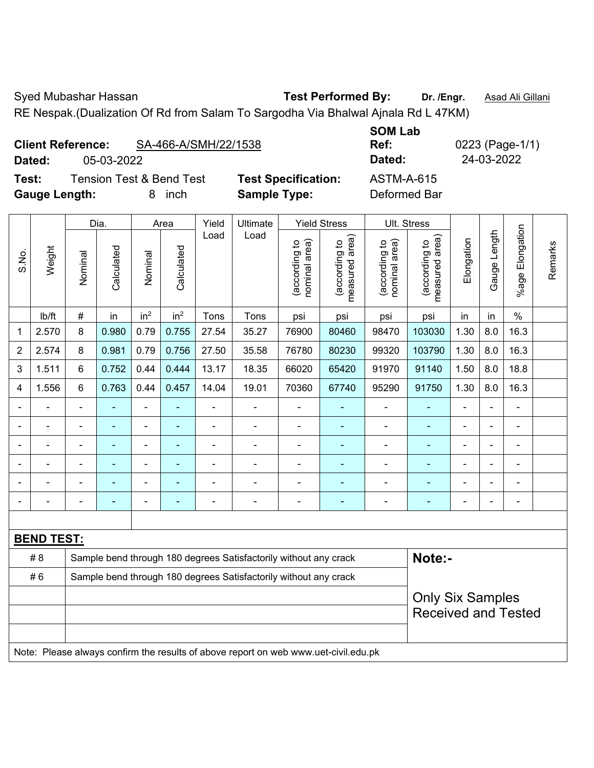S.No.

Syed Mubashar Hassan **Test Performed By:** Dr. /Engr. **Asad Ali Gillani** 

Remarks

Remarks

RE Nespak.(Dualization Of Rd from Salam To Sargodha Via Bhalwal Ajnala Rd L 47KM)

Dia. | Area | Yield | Ultimate | Yield Stress | Ult. Stress

|                          |            |                                     |                            | <b>SUM LAD</b> |              |
|--------------------------|------------|-------------------------------------|----------------------------|----------------|--------------|
| <b>Client Reference:</b> |            | SA-466-A/SMH/22/1538                |                            | Ref:           | 0223 (Page-1 |
| Dated:                   | 05-03-2022 |                                     |                            | Dated:         | 24-03-2022   |
| Test:                    |            | <b>Tension Test &amp; Bend Test</b> | <b>Test Specification:</b> | ASTM-A-615     |              |
| <b>Gauge Length:</b>     |            | inch                                | <b>Sample Type:</b>        | Deformed Bar   |              |

**SOM Lab Ref:** 0223 (Page-1/1) **Text:** Test 3.5 ASTM-A-615

|       |        |         | Did.       |                 | Alea            | <u>rieid</u> | UIUIIIdle |                                     | Tield Ottess                                | UIL OURSS                            |                                      |            |                 |                    |
|-------|--------|---------|------------|-----------------|-----------------|--------------|-----------|-------------------------------------|---------------------------------------------|--------------------------------------|--------------------------------------|------------|-----------------|--------------------|
| S.No. | Weight | Nominal | Calculated | Nominal         | Calculated      | Load         | Load      | area)<br>악<br>(according<br>nominal | area)<br><u>م</u><br>(according<br>measured | area)<br>್ರ<br>(according<br>nominal | area)<br>악<br>(according<br>measured | Elongation | Length<br>Gauge | Elongation<br>%age |
|       | lb/ft  | $\#$    | in         | in <sup>2</sup> | in <sup>2</sup> | Tons         | Tons      | psi                                 | psi                                         | psi                                  | psi                                  | in         | in              | $\%$               |
| 1     | 2.570  | 8       | 0.980      | 0.79            | 0.755           | 27.54        | 35.27     | 76900                               | 80460                                       | 98470                                | 103030                               | 1.30       | 8.0             | 16.3               |
| 2     | 2.574  | 8       | 0.981      | 0.79            | 0.756           | 27.50        | 35.58     | 76780                               | 80230                                       | 99320                                | 103790                               | 1.30       | 8.0             | 16.3               |
| 3     | 1.511  | 6       | 0.752      | 0.44            | 0.444           | 13.17        | 18.35     | 66020                               | 65420                                       | 91970                                | 91140                                | 1.50       | 8.0             | 18.8               |
| 4     | 1.556  | 6       | 0.763      | 0.44            | 0.457           | 14.04        | 19.01     | 70360                               | 67740                                       | 95290                                | 91750                                | 1.30       | 8.0             | 16.3               |
|       |        |         |            |                 |                 |              |           |                                     |                                             |                                      |                                      |            |                 |                    |
|       |        |         |            |                 |                 |              |           |                                     |                                             |                                      |                                      |            |                 |                    |
|       |        |         |            |                 |                 |              |           |                                     |                                             |                                      |                                      |            |                 |                    |

| <b>BEND TEST:</b> |                                                                                     |                            |
|-------------------|-------------------------------------------------------------------------------------|----------------------------|
| # 8               | Sample bend through 180 degrees Satisfactorily without any crack                    | Note:-                     |
| #6                | Sample bend through 180 degrees Satisfactorily without any crack                    |                            |
|                   |                                                                                     | <b>Only Six Samples</b>    |
|                   |                                                                                     | <b>Received and Tested</b> |
|                   |                                                                                     |                            |
|                   | Note: Please always confirm the results of above report on web www.uet-civil.edu.pk |                            |

- - - - - - - - - - - - - - - - - - - - - - - - - - - - - - - - - - - - - - - - - - - - -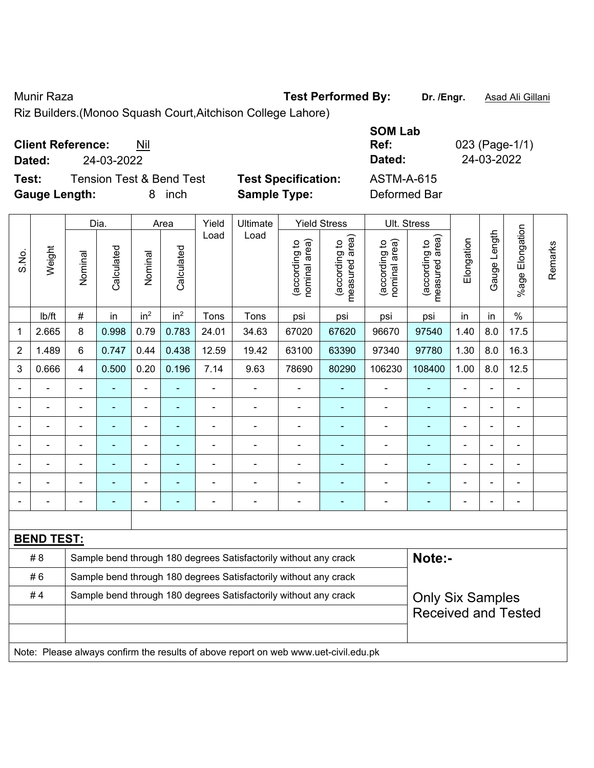Munir Raza **Test Performed By:** Dr. /Engr. **Asad Ali Gillani** Assembly Dr. /Engr. **Asad Ali Gillani** 

Riz Builders.(Monoo Squash Court,Aitchison College Lahore)

| <b>Client Reference:</b> | Nil |
|--------------------------|-----|
|--------------------------|-----|

**Test:** Tension Test & Bend Test **Test Specification: Gauge Length:** 8 inch **Sample Type:** Deformed Bar

|               |                          |                          |                            | <b>SOM Lab</b> |                |
|---------------|--------------------------|--------------------------|----------------------------|----------------|----------------|
|               | <b>Client Reference:</b> | Nil                      |                            | Ref:           | 023 (Page-1/1) |
| Dated:        | 24-03-2022               |                          |                            | Dated:         | 24-03-2022     |
| Test:         |                          | Tension Test & Bend Test | <b>Test Specification:</b> | ASTM-A-615     |                |
| Cougo Longthi |                          | 0 inah                   | Comple Tupe:               | Doformod Dor   |                |

|                |                   | Dia.           |                | Area            |                 | Yield<br>Ultimate                                                |                                                                                     | <b>Yield Stress</b>            |                                 | Ult. Stress                    |                                 |                |                |                       |         |
|----------------|-------------------|----------------|----------------|-----------------|-----------------|------------------------------------------------------------------|-------------------------------------------------------------------------------------|--------------------------------|---------------------------------|--------------------------------|---------------------------------|----------------|----------------|-----------------------|---------|
| S.No.          | Weight            | Nominal        | Calculated     | Nominal         | Calculated      | Load                                                             | Load                                                                                | nominal area)<br>(according to | (according to<br>measured area) | (according to<br>nominal area) | (according to<br>measured area) | Elongation     | Gauge Length   | Elongation<br>$%$ age | Remarks |
|                | Ib/ft             | $\#$           | in             | in <sup>2</sup> | in <sup>2</sup> | Tons                                                             | Tons                                                                                | psi                            | psi                             | psi                            | psi                             | in             | in             | $\frac{0}{0}$         |         |
| 1              | 2.665             | 8              | 0.998          | 0.79            | 0.783           | 24.01                                                            | 34.63                                                                               | 67020                          | 67620                           | 96670                          | 97540                           | 1.40           | 8.0            | 17.5                  |         |
| $\overline{2}$ | 1.489             | 6              | 0.747          | 0.44            | 0.438           | 12.59                                                            | 19.42                                                                               | 63100                          | 63390                           | 97340                          | 97780                           | 1.30           | 8.0            | 16.3                  |         |
| 3              | 0.666             | $\overline{4}$ | 0.500          | 0.20            | 0.196           | 7.14                                                             | 9.63                                                                                | 78690                          | 80290                           | 106230                         | 108400                          | 1.00           | 8.0            | 12.5                  |         |
|                |                   |                |                | ä,              |                 | $\blacksquare$                                                   |                                                                                     |                                |                                 |                                |                                 |                |                | ä,                    |         |
|                |                   |                | ٠              | ÷,              |                 | Ē,                                                               | ÷                                                                                   | $\blacksquare$                 | $\blacksquare$                  | $\blacksquare$                 | $\blacksquare$                  | $\blacksquare$ | $\blacksquare$ | $\blacksquare$        |         |
|                |                   |                | $\blacksquare$ | ÷               |                 | $\blacksquare$                                                   | $\blacksquare$                                                                      | $\blacksquare$                 |                                 | $\blacksquare$                 | $\blacksquare$                  | $\blacksquare$ |                | $\overline{a}$        |         |
|                | ä,                | L,             | $\blacksquare$ | ÷,              |                 | ä,                                                               | ä,                                                                                  | $\blacksquare$                 | ä,                              | $\blacksquare$                 | $\blacksquare$                  | $\blacksquare$ |                | $\blacksquare$        |         |
|                |                   |                | $\blacksquare$ | ÷               |                 | Ē,                                                               | ÷                                                                                   |                                |                                 | ä,                             | ۰                               |                |                | ä,                    |         |
|                |                   |                |                |                 |                 |                                                                  |                                                                                     |                                |                                 |                                |                                 |                |                | $\blacksquare$        |         |
|                |                   |                |                | ÷               |                 |                                                                  | $\blacksquare$                                                                      | $\blacksquare$                 |                                 | $\blacksquare$                 | ۰                               |                |                | ä,                    |         |
|                |                   |                |                |                 |                 |                                                                  |                                                                                     |                                |                                 |                                |                                 |                |                |                       |         |
|                | <b>BEND TEST:</b> |                |                |                 |                 |                                                                  |                                                                                     |                                |                                 |                                |                                 |                |                |                       |         |
|                | #8                |                |                |                 |                 |                                                                  | Sample bend through 180 degrees Satisfactorily without any crack                    |                                |                                 |                                | Note:-                          |                |                |                       |         |
|                | #6                |                |                |                 |                 |                                                                  | Sample bend through 180 degrees Satisfactorily without any crack                    |                                |                                 |                                |                                 |                |                |                       |         |
|                | #4                |                |                |                 |                 | Sample bend through 180 degrees Satisfactorily without any crack |                                                                                     | <b>Only Six Samples</b>        |                                 |                                |                                 |                |                |                       |         |
|                |                   |                |                |                 |                 |                                                                  |                                                                                     |                                |                                 |                                | <b>Received and Tested</b>      |                |                |                       |         |
|                |                   |                |                |                 |                 |                                                                  |                                                                                     |                                |                                 |                                |                                 |                |                |                       |         |
|                |                   |                |                |                 |                 |                                                                  | Note: Please always confirm the results of above report on web www.uet-civil.edu.pk |                                |                                 |                                |                                 |                |                |                       |         |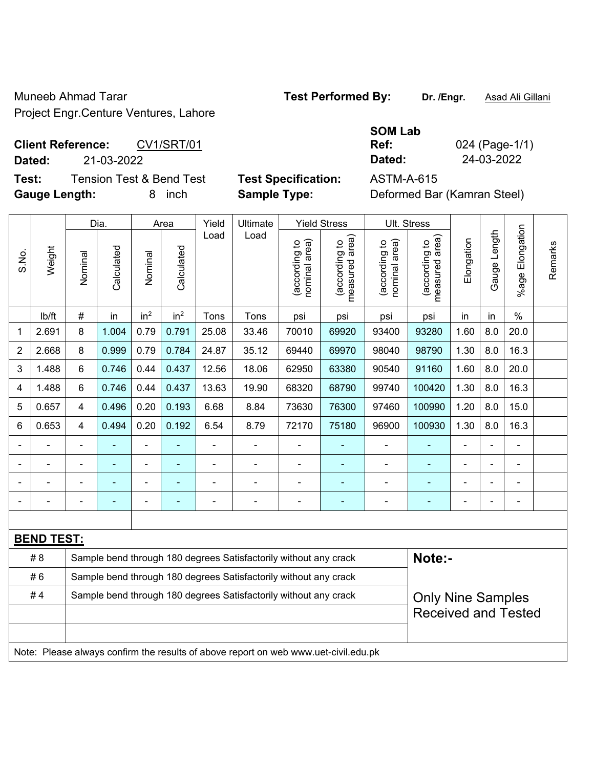Muneeb Ahmad Tarar **Test Performed By:** Dr. /Engr. **Asad Ali Gillani** Project Engr.Centure Ventures, Lahore

**Client Reference:** CV1/SRT/01 **Dated:** 21-03-2022 **Dated:** 24-03-2022

**Test:** Tension Test & Bend Test **Test Specification:** ASTM-A-615 **Gauge Length:** 8 inch **Sample Type:** Deformed Bar (Kamran Steel)

| SOM Lab |          |
|---------|----------|
| Ref:    | 024 (Pa  |
| Dated:  | $24-03-$ |

**Rge-1/1)** 

|       |                   |                | Dia.       |                 | Area            | Yield | Ultimate                                                                            |                                | <b>Yield Stress</b>             |                                | Ult. Stress                     |                |              |                       |         |
|-------|-------------------|----------------|------------|-----------------|-----------------|-------|-------------------------------------------------------------------------------------|--------------------------------|---------------------------------|--------------------------------|---------------------------------|----------------|--------------|-----------------------|---------|
| S.No. | Weight            | Nominal        | Calculated | Nominal         | Calculated      | Load  | Load                                                                                | (according to<br>nominal area) | (according to<br>measured area) | nominal area)<br>(according to | (according to<br>measured area) | Elongation     | Gauge Length | Elongation<br>$%$ age | Remarks |
|       | lb/ft             | $\#$           | in         | in <sup>2</sup> | in <sup>2</sup> | Tons  | Tons                                                                                | psi                            | psi                             | psi                            | psi                             | in             | in           | $\%$                  |         |
| 1     | 2.691             | 8              | 1.004      | 0.79            | 0.791           | 25.08 | 33.46                                                                               | 70010                          | 69920                           | 93400                          | 93280                           | 1.60           | 8.0          | 20.0                  |         |
| 2     | 2.668             | 8              | 0.999      | 0.79            | 0.784           | 24.87 | 35.12                                                                               | 69440                          | 69970                           | 98040                          | 98790                           | 1.30           | 8.0          | 16.3                  |         |
| 3     | 1.488             | 6              | 0.746      | 0.44            | 0.437           | 12.56 | 18.06                                                                               | 62950                          | 63380                           | 90540                          | 91160                           | 1.60           | 8.0          | 20.0                  |         |
| 4     | 1.488             | 6              | 0.746      | 0.44            | 0.437           | 13.63 | 19.90                                                                               | 68320                          | 68790                           | 99740                          | 100420                          | 1.30           | 8.0          | 16.3                  |         |
| 5     | 0.657             | $\overline{4}$ | 0.496      | 0.20            | 0.193           | 6.68  | 8.84                                                                                | 73630                          | 76300                           | 97460                          | 100990                          | 1.20           | 8.0          | 15.0                  |         |
| 6     | 0.653             | $\overline{4}$ | 0.494      | 0.20            | 0.192           | 6.54  | 8.79                                                                                | 72170                          | 75180                           | 96900                          | 100930                          | 1.30           | 8.0          | 16.3                  |         |
|       |                   |                |            |                 |                 |       | ä,                                                                                  |                                |                                 | $\overline{\phantom{a}}$       | $\blacksquare$                  |                |              |                       |         |
|       |                   |                |            | ۰               |                 |       | $\blacksquare$                                                                      | $\blacksquare$                 |                                 |                                |                                 |                |              |                       |         |
|       |                   |                |            | ۰               |                 |       |                                                                                     | $\blacksquare$                 | ۰                               |                                | $\blacksquare$                  |                |              | $\blacksquare$        |         |
|       |                   |                | ۰          | ۰               | ۰               |       | $\overline{\phantom{a}}$                                                            | $\blacksquare$                 | ۰                               | $\overline{\phantom{a}}$       | $\blacksquare$                  | $\blacksquare$ |              | ÷                     |         |
|       |                   |                |            |                 |                 |       |                                                                                     |                                |                                 |                                |                                 |                |              |                       |         |
|       | <b>BEND TEST:</b> |                |            |                 |                 |       |                                                                                     |                                |                                 |                                |                                 |                |              |                       |         |
|       | # 8               |                |            |                 |                 |       | Sample bend through 180 degrees Satisfactorily without any crack                    |                                |                                 |                                | Note:-                          |                |              |                       |         |
|       | #6                |                |            |                 |                 |       | Sample bend through 180 degrees Satisfactorily without any crack                    |                                |                                 |                                |                                 |                |              |                       |         |
|       | #4                |                |            |                 |                 |       | Sample bend through 180 degrees Satisfactorily without any crack                    |                                |                                 |                                | <b>Only Nine Samples</b>        |                |              |                       |         |
|       |                   |                |            |                 |                 |       |                                                                                     |                                |                                 |                                | <b>Received and Tested</b>      |                |              |                       |         |
|       |                   |                |            |                 |                 |       |                                                                                     |                                |                                 |                                |                                 |                |              |                       |         |
|       |                   |                |            |                 |                 |       | Note: Please always confirm the results of above report on web www.uet-civil.edu.pk |                                |                                 |                                |                                 |                |              |                       |         |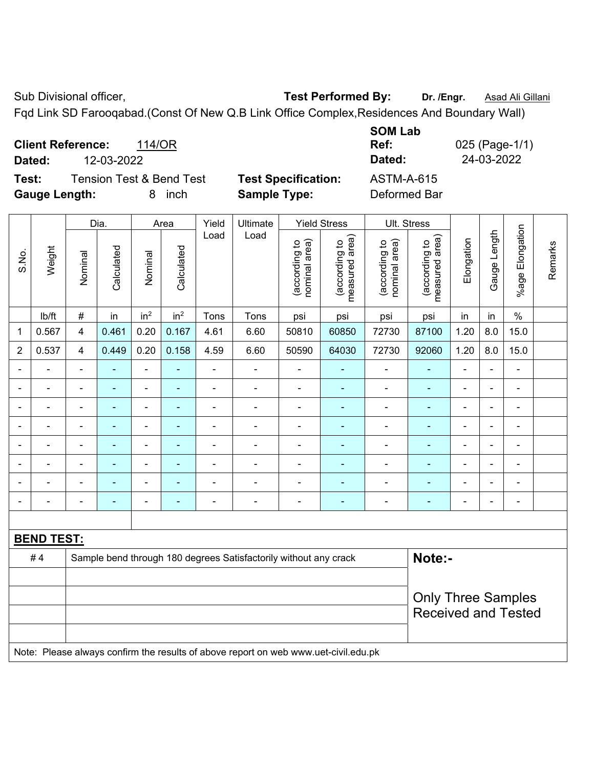Sub Divisional officer, **Test Performed By:** Dr. /Engr. **Asad Ali Gillani** Cultum

Fqd Link SD Farooqabad.(Const Of New Q.B Link Office Complex,Residences And Boundary Wall)

| <b>Client Reference:</b><br>114/OR<br>12-03-2022<br>Dated: |                            | <b>SOM Lab</b><br>Ref:<br>025 (Page-1/1)<br>24-03-2022<br>Dated: |
|------------------------------------------------------------|----------------------------|------------------------------------------------------------------|
| <b>Tension Test &amp; Bend Test</b><br>Test:               | <b>Test Specification:</b> | <b>ASTM-A-615</b>                                                |
| <b>Gauge Length:</b><br>inch<br>8.                         | <b>Sample Type:</b>        | Deformed Bar                                                     |

|                |                   |                         | Dia.           |                 | Area            | Yield          | Ultimate                                                                            |                                | <b>Yield Stress</b>             |                                | Ult. Stress                                             |                |                |                       |         |
|----------------|-------------------|-------------------------|----------------|-----------------|-----------------|----------------|-------------------------------------------------------------------------------------|--------------------------------|---------------------------------|--------------------------------|---------------------------------------------------------|----------------|----------------|-----------------------|---------|
| S.No.          | Weight            | Nominal                 | Calculated     | Nominal         | Calculated      | Load           | Load                                                                                | nominal area)<br>(according to | measured area)<br>(according to | nominal area)<br>(according to | (according to<br>measured area)                         | Elongation     | Gauge Length   | Elongation<br>$%$ age | Remarks |
|                | lb/ft             | #                       | in             | in <sup>2</sup> | in <sup>2</sup> | Tons           | Tons                                                                                | psi                            | psi                             | psi                            | psi                                                     | in             | in             | $\%$                  |         |
| 1              | 0.567             | $\overline{\mathbf{4}}$ | 0.461          | 0.20            | 0.167           | 4.61           | 6.60                                                                                | 50810                          | 60850                           | 72730                          | 87100                                                   | 1.20           | 8.0            | 15.0                  |         |
| $\overline{2}$ | 0.537             | $\overline{4}$          | 0.449          | 0.20            | 0.158           | 4.59           | 6.60                                                                                | 50590                          | 64030                           | 72730                          | 92060                                                   | 1.20           | 8.0            | 15.0                  |         |
|                | ä,                | ä,                      | $\blacksquare$ | ÷,              |                 | $\blacksquare$ | $\blacksquare$                                                                      | $\blacksquare$                 | $\blacksquare$                  | ÷,                             | Ē,                                                      | $\blacksquare$ | $\blacksquare$ | $\blacksquare$        |         |
|                | ä,                | $\blacksquare$          | $\blacksquare$ | ÷,              | $\blacksquare$  | $\blacksquare$ | $\blacksquare$                                                                      | $\blacksquare$                 | $\blacksquare$                  | $\blacksquare$                 | $\blacksquare$                                          | $\blacksquare$ |                | $\blacksquare$        |         |
|                | ÷                 | ä,                      | ٠              | ÷,              |                 | $\blacksquare$ | ÷                                                                                   | $\blacksquare$                 | ۰                               | ä,                             | $\blacksquare$                                          | $\blacksquare$ |                | $\blacksquare$        |         |
|                | $\blacksquare$    | $\blacksquare$          | $\blacksquare$ | ÷               |                 | $\blacksquare$ | L.                                                                                  | $\blacksquare$                 | $\blacksquare$                  | ÷,                             | $\blacksquare$                                          | $\blacksquare$ |                | $\blacksquare$        |         |
|                |                   |                         | $\blacksquare$ | $\blacksquare$  |                 | Ē,             | L.                                                                                  | $\blacksquare$                 | ۰                               | ä,                             | $\overline{a}$                                          | $\blacksquare$ |                | $\blacksquare$        |         |
|                |                   |                         |                | ۰               |                 |                |                                                                                     |                                |                                 |                                |                                                         |                |                | L.                    |         |
|                | $\overline{a}$    |                         | ۳              | $\blacksquare$  |                 |                |                                                                                     | $\blacksquare$                 |                                 | ۰                              | $\blacksquare$                                          | $\blacksquare$ |                | $\blacksquare$        |         |
|                |                   |                         | ٠              | ÷               |                 | ÷              | Ē,                                                                                  | $\blacksquare$                 | $\blacksquare$                  | ÷                              | ÷                                                       | $\blacksquare$ |                | $\blacksquare$        |         |
|                |                   |                         |                |                 |                 |                |                                                                                     |                                |                                 |                                |                                                         |                |                |                       |         |
|                | <b>BEND TEST:</b> |                         |                |                 |                 |                |                                                                                     |                                |                                 |                                |                                                         |                |                |                       |         |
|                | #4                |                         |                |                 |                 |                | Sample bend through 180 degrees Satisfactorily without any crack                    |                                |                                 |                                | Note:-                                                  |                |                |                       |         |
|                |                   |                         |                |                 |                 |                |                                                                                     |                                |                                 |                                |                                                         |                |                |                       |         |
|                |                   |                         |                |                 |                 |                |                                                                                     |                                |                                 |                                | <b>Only Three Samples</b><br><b>Received and Tested</b> |                |                |                       |         |
|                |                   |                         |                |                 |                 |                | Note: Please always confirm the results of above report on web www.uet-civil.edu.pk |                                |                                 |                                |                                                         |                |                |                       |         |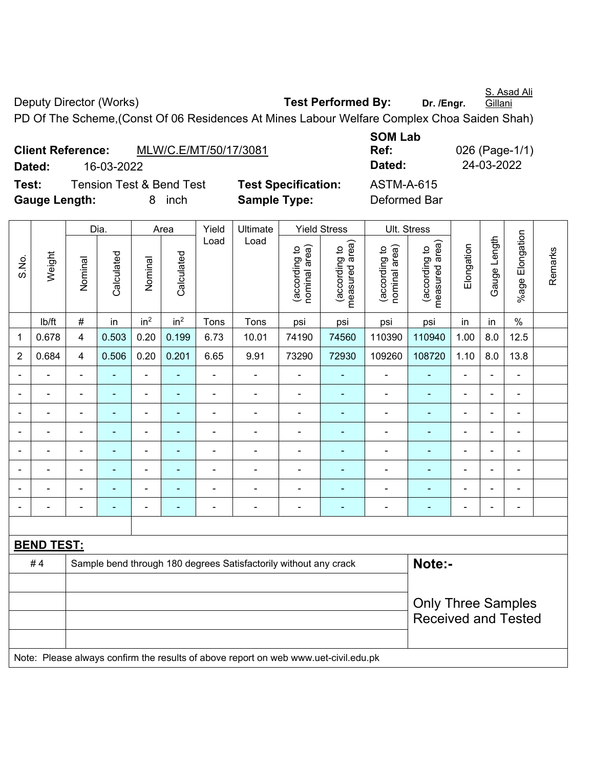S. Asad Ali Gillani

Deputy Director (Works) **Test Performed By:** Dr. /Engr.

PD Of The Scheme,(Const Of 06 Residences At Mines Labour Welfare Complex Choa Saiden Shah)

| <b>Client Reference:</b> |            |                                     | MLW/C.E/MT/50/17/3081 |
|--------------------------|------------|-------------------------------------|-----------------------|
| Dated:                   | 16-03-2022 |                                     |                       |
| Test:                    |            | <b>Tension Test &amp; Bend Test</b> | <b>Test Specifi</b>   |
| Gauge Length:            |            | 8 inch                              | Sample Typ            |

**SOM Lab Ref:** 026 (Page-1/1) **Dated:** 16-03-2022 **Dated:** 24-03-2022 **Teation:** ASTM-A-615 **e: Deformed Bar** 

|                          |                   |                                                         | Dia.           |                              | Area            | Yield          | Ultimate                                                         |                                                                                     | <b>Yield Stress</b>             |                                | Ult. Stress                     |                |                          |                          |         |  |  |  |  |
|--------------------------|-------------------|---------------------------------------------------------|----------------|------------------------------|-----------------|----------------|------------------------------------------------------------------|-------------------------------------------------------------------------------------|---------------------------------|--------------------------------|---------------------------------|----------------|--------------------------|--------------------------|---------|--|--|--|--|
| S.No.                    | Weight            | Nominal                                                 | Calculated     | Nominal                      | Calculated      | Load           | Load                                                             | nominal area)<br>(according to                                                      | (according to<br>measured area) | nominal area)<br>(according to | (according to<br>measured area) | Elongation     | Gauge Length             | %age Elongation          | Remarks |  |  |  |  |
|                          | lb/ft             | $\#$                                                    | in             | in <sup>2</sup>              | in <sup>2</sup> | Tons           | Tons                                                             | psi                                                                                 | psi                             | psi                            | psi                             | in             | in                       | $\%$                     |         |  |  |  |  |
| 1                        | 0.678             | $\overline{4}$                                          | 0.503          | 0.20                         | 0.199           | 6.73           | 10.01                                                            | 74190                                                                               | 74560                           | 110390                         | 110940                          | 1.00           | 8.0                      | 12.5                     |         |  |  |  |  |
| $\overline{2}$           | 0.684             | $\overline{4}$                                          | 0.506          | 0.20                         | 0.201           | 6.65           | 9.91                                                             | 73290                                                                               | 72930                           | 109260                         | 108720                          | 1.10           | $8.0\,$                  | 13.8                     |         |  |  |  |  |
| $\blacksquare$           | $\blacksquare$    | $\blacksquare$                                          | ۰              | $\qquad \qquad \blacksquare$ | $\blacksquare$  | $\blacksquare$ | $\overline{\phantom{a}}$                                         | $\overline{\phantom{a}}$                                                            | ٠                               | $\blacksquare$                 | $\blacksquare$                  | $\blacksquare$ | $\blacksquare$           | $\blacksquare$           |         |  |  |  |  |
| $\blacksquare$           | Ě.                | $\blacksquare$                                          | $\blacksquare$ | $\qquad \qquad \blacksquare$ | $\blacksquare$  | $\blacksquare$ | $\blacksquare$                                                   | ä,                                                                                  | $\blacksquare$                  | $\blacksquare$                 | $\blacksquare$                  | ä,             | ä,                       | $\overline{\phantom{a}}$ |         |  |  |  |  |
| $\overline{\phantom{0}}$ | $\blacksquare$    | $\blacksquare$                                          | ä,             | $\qquad \qquad \blacksquare$ | ۰               | $\blacksquare$ | $\overline{a}$                                                   | $\overline{\phantom{a}}$                                                            | ×,                              | $\overline{\phantom{a}}$       | $\blacksquare$                  | $\blacksquare$ | $\overline{\phantom{0}}$ | $\overline{\phantom{a}}$ |         |  |  |  |  |
|                          | $\blacksquare$    | $\blacksquare$                                          | ÷              | $\overline{\phantom{a}}$     | ۰               | $\blacksquare$ | $\blacksquare$                                                   | ä,                                                                                  | ä,                              | $\blacksquare$                 | ٠                               |                |                          | $\blacksquare$           |         |  |  |  |  |
|                          |                   |                                                         | ۰              | $\blacksquare$               |                 | $\blacksquare$ | $\blacksquare$                                                   | L,                                                                                  | ä,                              | $\blacksquare$                 | ٠                               |                |                          | $\blacksquare$           |         |  |  |  |  |
|                          |                   |                                                         |                | ä,                           |                 | ٠              | $\blacksquare$                                                   | $\blacksquare$                                                                      |                                 | ٠                              |                                 |                |                          |                          |         |  |  |  |  |
|                          |                   |                                                         |                | -                            |                 |                |                                                                  | $\blacksquare$                                                                      |                                 | $\overline{\phantom{0}}$       |                                 |                |                          |                          |         |  |  |  |  |
|                          |                   |                                                         | ۰              | $\overline{\phantom{a}}$     | ٠               | $\blacksquare$ | $\blacksquare$                                                   | L,                                                                                  | ä,                              | $\blacksquare$                 | $\blacksquare$                  | $\blacksquare$ | $\overline{\phantom{0}}$ | $\blacksquare$           |         |  |  |  |  |
|                          |                   |                                                         |                |                              |                 |                |                                                                  |                                                                                     |                                 |                                |                                 |                |                          |                          |         |  |  |  |  |
|                          | <b>BEND TEST:</b> |                                                         |                |                              |                 |                |                                                                  |                                                                                     |                                 |                                |                                 |                |                          |                          |         |  |  |  |  |
|                          | #4                |                                                         |                |                              |                 |                | Sample bend through 180 degrees Satisfactorily without any crack |                                                                                     |                                 |                                | Note:-                          |                |                          |                          |         |  |  |  |  |
|                          |                   |                                                         |                |                              |                 |                |                                                                  |                                                                                     |                                 |                                |                                 |                |                          |                          |         |  |  |  |  |
|                          |                   | <b>Only Three Samples</b><br><b>Received and Tested</b> |                |                              |                 |                |                                                                  |                                                                                     |                                 |                                |                                 |                |                          |                          |         |  |  |  |  |
|                          |                   |                                                         |                |                              |                 |                |                                                                  | Note: Please always confirm the results of above report on web www.uet-civil.edu.pk |                                 |                                |                                 |                |                          |                          |         |  |  |  |  |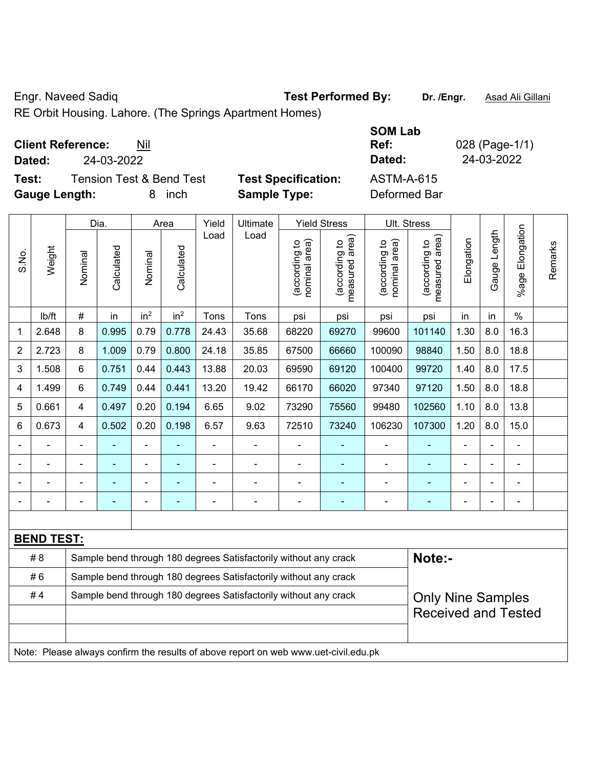Engr. Naveed Sadiq **Test Performed By:** Dr. /Engr. **Asad Ali Gillani** Collection Association Collection Association

RE Orbit Housing. Lahore. (The Springs Apartment Homes)

| <b>Client Reference:</b> |  | Nil |
|--------------------------|--|-----|
|--------------------------|--|-----|

**Test:** Tension Test & Bend Test **Test Specification:** ASTM-A-615 **Gauge Length:** 8 inch **Sample Type:** Deformed Bar

**SOM Lab Ref:** 028 (Page-1/1) **Dated:** 24-03-2022 **Dated:** 24-03-2022

|                                                                        |                   |         | Dia.       |                 | Area            | Yield          | Ultimate                                                                            |                                | <b>Yield Stress</b>             |                                | Ult. Stress                     |                |              |                       |         |
|------------------------------------------------------------------------|-------------------|---------|------------|-----------------|-----------------|----------------|-------------------------------------------------------------------------------------|--------------------------------|---------------------------------|--------------------------------|---------------------------------|----------------|--------------|-----------------------|---------|
| S.No.                                                                  | Weight            | Nominal | Calculated | Nominal         | Calculated      | Load           | Load                                                                                | nominal area)<br>(according to | (according to<br>measured area) | (according to<br>nominal area) | (according to<br>measured area) | Elongation     | Gauge Length | Elongation<br>$%$ age | Remarks |
|                                                                        | lb/ft             | $\#$    | in         | in <sup>2</sup> | in <sup>2</sup> | Tons           | Tons                                                                                | psi                            | psi                             | psi                            | psi                             | in             | in           | $\%$                  |         |
| 1                                                                      | 2.648             | 8       | 0.995      | 0.79            | 0.778           | 24.43          | 35.68                                                                               | 68220                          | 69270                           | 99600                          | 101140                          | 1.30           | 8.0          | 16.3                  |         |
| $\overline{2}$                                                         | 2.723             | 8       | 1.009      | 0.79            | 0.800           | 24.18          | 35.85                                                                               | 67500                          | 66660                           | 100090                         | 98840                           | 1.50           | 8.0          | 18.8                  |         |
| 3                                                                      | 1.508             | 6       | 0.751      | 0.44            | 0.443           | 13.88          | 20.03                                                                               | 69590                          | 69120                           | 100400                         | 99720                           | 1.40           | 8.0          | 17.5                  |         |
| 4                                                                      | 1.499             | 6       | 0.749      | 0.44            | 0.441           | 13.20          | 19.42                                                                               | 66170                          | 66020                           | 97340                          | 97120                           | 1.50           | 8.0          | 18.8                  |         |
| 5                                                                      | 0.661             | 4       | 0.497      | 0.20            | 0.194           | 6.65           | 9.02                                                                                | 73290                          | 75560                           | 99480                          | 102560                          | 1.10           | 8.0          | 13.8                  |         |
| 6                                                                      | 0.673             | 4       | 0.502      | 0.20            | 0.198           | 6.57           | 9.63                                                                                | 72510                          | 73240                           | 106230                         | 107300                          | 1.20           | 8.0          | 15.0                  |         |
|                                                                        |                   |         |            |                 |                 |                | L,                                                                                  |                                |                                 | ÷,                             |                                 | ä,             |              | ä,                    |         |
|                                                                        |                   |         |            |                 |                 |                |                                                                                     | $\blacksquare$                 |                                 |                                |                                 |                |              |                       |         |
|                                                                        |                   |         |            | ÷               |                 |                | ÷                                                                                   | $\blacksquare$                 |                                 | $\blacksquare$                 | $\blacksquare$                  | $\blacksquare$ |              | $\blacksquare$        |         |
| $\blacksquare$                                                         |                   |         |            | $\blacksquare$  |                 | $\blacksquare$ | ä,                                                                                  | ä,                             | $\blacksquare$                  | $\blacksquare$                 | $\blacksquare$                  | $\blacksquare$ |              | $\blacksquare$        |         |
|                                                                        |                   |         |            |                 |                 |                |                                                                                     |                                |                                 |                                |                                 |                |              |                       |         |
|                                                                        | <b>BEND TEST:</b> |         |            |                 |                 |                |                                                                                     |                                |                                 |                                |                                 |                |              |                       |         |
|                                                                        | # 8               |         |            |                 |                 |                | Sample bend through 180 degrees Satisfactorily without any crack                    |                                |                                 |                                | Note:-                          |                |              |                       |         |
|                                                                        | #6                |         |            |                 |                 |                | Sample bend through 180 degrees Satisfactorily without any crack                    |                                |                                 |                                |                                 |                |              |                       |         |
| #4<br>Sample bend through 180 degrees Satisfactorily without any crack |                   |         |            |                 |                 |                |                                                                                     |                                |                                 | <b>Only Nine Samples</b>       |                                 |                |              |                       |         |
|                                                                        |                   |         |            |                 |                 |                |                                                                                     |                                | <b>Received and Tested</b>      |                                |                                 |                |              |                       |         |
|                                                                        |                   |         |            |                 |                 |                |                                                                                     |                                |                                 |                                |                                 |                |              |                       |         |
|                                                                        |                   |         |            |                 |                 |                | Note: Please always confirm the results of above report on web www.uet-civil.edu.pk |                                |                                 |                                |                                 |                |              |                       |         |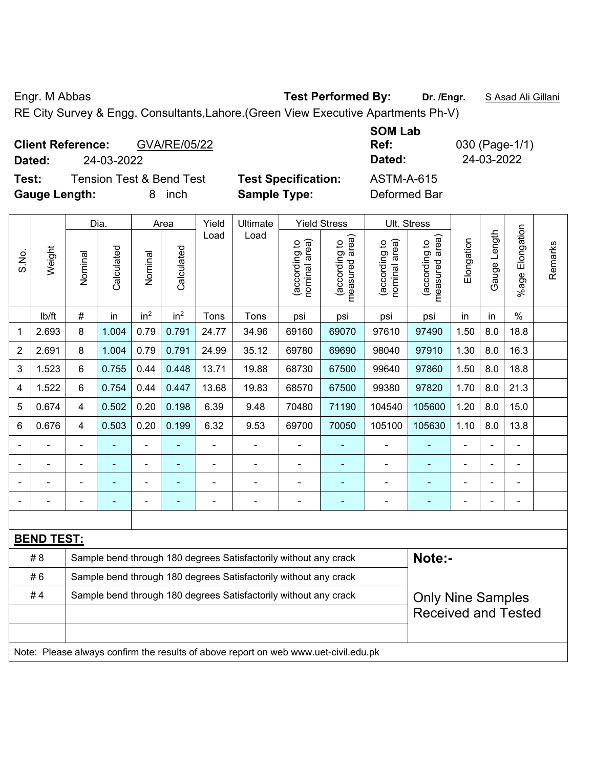Engr. M Abbas **Test Performed By: Dr. /Engr.** S Asad Ali Gillani

RE City Survey & Engg. Consultants,Lahore.(Green View Executive Apartments Ph-V)

| GVA/RE/05/22<br><b>Client Reference:</b>     |                            | <b>SOM Lab</b><br>Ref: | 030 (Page-1/1) |
|----------------------------------------------|----------------------------|------------------------|----------------|
| 24-03-2022<br>Dated:                         |                            | Dated:                 | 24-03-2022     |
| <b>Tension Test &amp; Bend Test</b><br>Test: | <b>Test Specification:</b> | <b>ASTM-A-615</b>      |                |
| <b>Gauge Length:</b><br>inch                 | <b>Sample Type:</b>        | Deformed Bar           |                |

|                            |                   |                | Dia.       |                 | Area            | Yield | Ultimate                                                                            |                                | <b>Yield Stress</b>             |                                | Ult. Stress                     |                |                |                 |         |
|----------------------------|-------------------|----------------|------------|-----------------|-----------------|-------|-------------------------------------------------------------------------------------|--------------------------------|---------------------------------|--------------------------------|---------------------------------|----------------|----------------|-----------------|---------|
| S.No.                      | Weight            | Nominal        | Calculated | Nominal         | Calculated      | Load  | Load                                                                                | nominal area)<br>(according to | (according to<br>measured area) | nominal area)<br>(according to | (according to<br>measured area) | Elongation     | Gauge Length   | %age Elongation | Remarks |
|                            | Ib/ft             | $\#$           | in         | in <sup>2</sup> | in <sup>2</sup> | Tons  | Tons                                                                                | psi                            | psi                             | psi                            | psi                             | in             | in             | $\%$            |         |
| 1                          | 2.693             | 8              | 1.004      | 0.79            | 0.791           | 24.77 | 34.96                                                                               | 69160                          | 69070                           | 97610                          | 97490                           | 1.50           | 8.0            | 18.8            |         |
| 2                          | 2.691             | 8              | 1.004      | 0.79            | 0.791           | 24.99 | 35.12                                                                               | 69780                          | 69690                           | 98040                          | 97910                           | 1.30           | 8.0            | 16.3            |         |
| 3                          | 1.523             | 6              | 0.755      | 0.44            | 0.448           | 13.71 | 19.88                                                                               | 68730                          | 67500                           | 99640                          | 97860                           | 1.50           | 8.0            | 18.8            |         |
| 4                          | 1.522             | 6              | 0.754      | 0.44            | 0.447           | 13.68 | 19.83                                                                               | 68570                          | 67500                           | 99380                          | 97820                           | 1.70           | 8.0            | 21.3            |         |
| 5                          | 0.674             | 4              | 0.502      | 0.20            | 0.198           | 6.39  | 9.48                                                                                | 70480                          | 71190                           | 104540                         | 105600                          | 1.20           | 8.0            | 15.0            |         |
| 6                          | 0.676             | 4              | 0.503      | 0.20            | 0.199           | 6.32  | 9.53                                                                                | 69700                          | 70050                           | 105100                         | 105630                          | 1.10           | 8.0            | 13.8            |         |
|                            |                   |                |            |                 |                 |       | $\overline{a}$                                                                      | ÷,                             |                                 |                                |                                 |                |                |                 |         |
|                            |                   |                |            |                 |                 |       | ÷                                                                                   | $\blacksquare$                 |                                 |                                |                                 |                |                | $\blacksquare$  |         |
|                            | $\overline{a}$    |                |            | $\blacksquare$  |                 |       |                                                                                     | ä,                             | ä,                              | $\blacksquare$                 |                                 |                | $\blacksquare$ | $\blacksquare$  |         |
|                            |                   | $\blacksquare$ |            | $\blacksquare$  |                 |       | $\blacksquare$                                                                      | $\blacksquare$                 | ٠                               | $\blacksquare$                 | ۰                               | $\blacksquare$ | $\blacksquare$ | $\blacksquare$  |         |
|                            |                   |                |            |                 |                 |       |                                                                                     |                                |                                 |                                |                                 |                |                |                 |         |
|                            | <b>BEND TEST:</b> |                |            |                 |                 |       |                                                                                     |                                |                                 |                                |                                 |                |                |                 |         |
|                            | # 8               |                |            |                 |                 |       | Sample bend through 180 degrees Satisfactorily without any crack                    |                                |                                 |                                | Note:-                          |                |                |                 |         |
|                            | #6                |                |            |                 |                 |       | Sample bend through 180 degrees Satisfactorily without any crack                    |                                |                                 |                                |                                 |                |                |                 |         |
|                            | #4                |                |            |                 |                 |       | Sample bend through 180 degrees Satisfactorily without any crack                    |                                |                                 |                                | <b>Only Nine Samples</b>        |                |                |                 |         |
| <b>Received and Tested</b> |                   |                |            |                 |                 |       |                                                                                     |                                |                                 |                                |                                 |                |                |                 |         |
|                            |                   |                |            |                 |                 |       |                                                                                     |                                |                                 |                                |                                 |                |                |                 |         |
|                            |                   |                |            |                 |                 |       | Note: Please always confirm the results of above report on web www.uet-civil.edu.pk |                                |                                 |                                |                                 |                |                |                 |         |